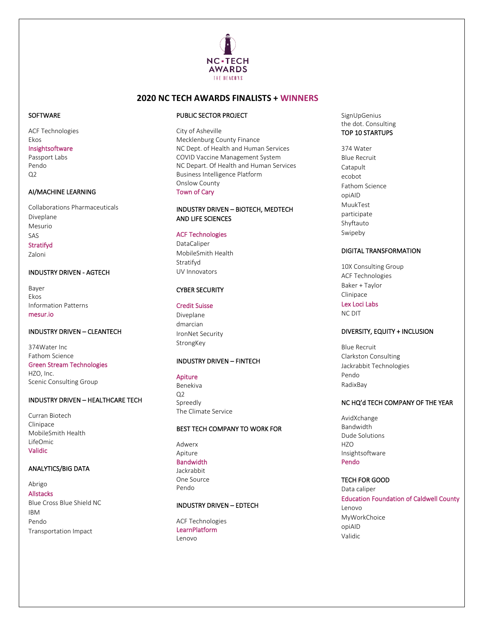

## **2020 NC TECH AWARDS FINALISTS + WINNERS**

#### **SOFTWARE**

**ACF Technologies** Ekos

#### Insightsoftware

Passport Labs Pendo  $Q<sub>2</sub>$ 

## AI/MACHINE LEARNING

**Collaborations Pharmaceuticals** Diveplane Mesurio SAS

## Stratifyd

Zaloni

## **INDUSTRY DRIVEN - AGTECH**

Bayer Ekos **Information Patterns** mesur.io

## **INDUSTRY DRIVEN - CLEANTECH**

374Water Inc Fathom Science **Green Stream Technologies** HZO, Inc.

**Scenic Consulting Group** 

## INDUSTRY DRIVEN - HEALTHCARE TECH

Curran Biotech Clinipace MobileSmith Health LifeOmic Validic

#### **ANALYTICS/BIG DATA**

Abrigo **Allstacks** Blue Cross Blue Shield NC **IRM** 

Pendo Transportation Impact

#### PUBLIC SECTOR PROJECT

City of Asheville Mecklenburg County Finance NC Dept. of Health and Human Services COVID Vaccine Management System NC Depart. Of Health and Human Services **Business Intelligence Platform** Onslow County **Town of Cary** 

## INDUSTRY DRIVEN - BIOTECH, MEDTECH AND LIFE SCIENCES

## **ACF Technologies**

DataCaliper MobileSmith Health Stratifyd UV Innovators

#### **CYBER SECURITY**

#### **Credit Suisse**

Diveplane dmarcian IronNet Security StrongKey

#### **INDUSTRY DRIVEN - FINTECH**

#### Apiture

Benekiva  $Q<sub>2</sub>$ Spreedly The Climate Service

#### BEST TECH COMPANY TO WORK FOR

Adwerx Apiture

## **Bandwidth**

lackrabbit One Source Pendo

## **INDUSTRY DRIVEN - EDTECH**

**ACF Technologies** LearnPlatform Lenovo

SignUpGenius the dot. Consulting TOP 10 STARTUPS

374 Water **Blue Recruit** Catapult ecobot Fathom Science opiAID MuukTest participate Shyftauto Swipeby

#### **DIGITAL TRANSFORMATION**

10X Consulting Group **ACF Technologies** Baker + Taylor Clinipace Lex Loci Labs **NC DIT** 

# DIVERSITY, EQUITY + INCLUSION

**Blue Recruit** Clarkston Consulting Jackrabbit Technologies Pendo RadixBav

### NC HQ'd TECH COMPANY OF THE YEAR

AvidXchange Bandwidth Dude Solutions **HZO** Insightsoftware Pendo

#### **TECH FOR GOOD**

Data caliper **Education Foundation of Caldwell County** Lenovo MyWorkChoice opiAID Validic